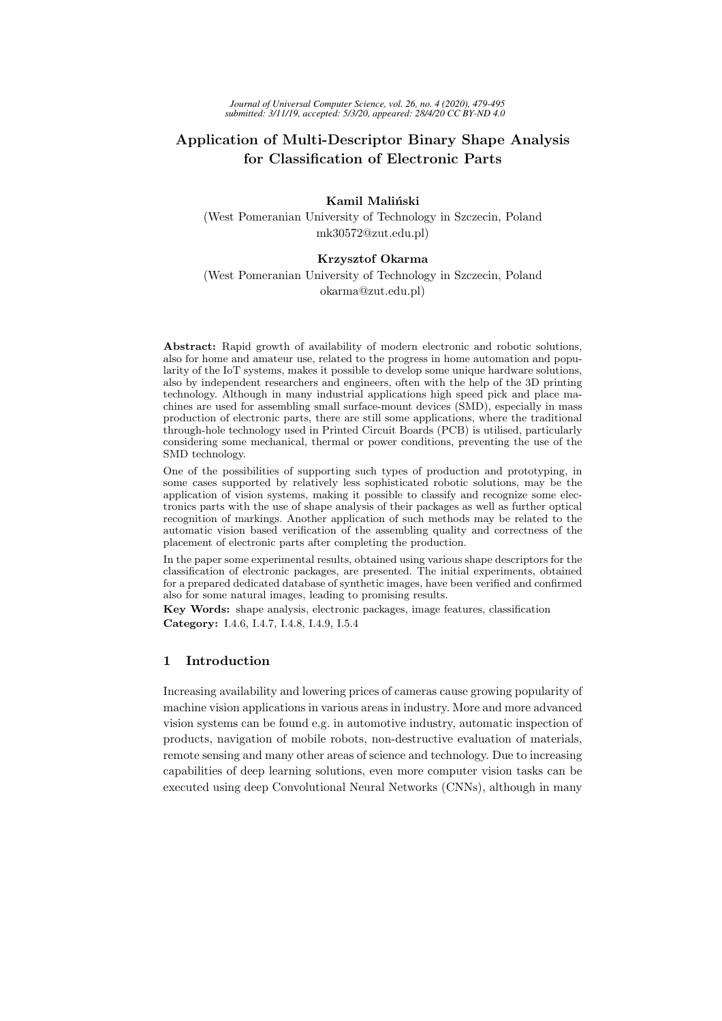# Application of Multi-Descriptor Binary Shape Analysis for Classification of Electronic Parts

Kamil Maliński (West Pomeranian University of Technology in Szczecin, Poland mk30572@zut.edu.pl)

### Krzysztof Okarma

(West Pomeranian University of Technology in Szczecin, Poland okarma@zut.edu.pl)

Abstract: Rapid growth of availability of modern electronic and robotic solutions, also for home and amateur use, related to the progress in home automation and popularity of the IoT systems, makes it possible to develop some unique hardware solutions, also by independent researchers and engineers, often with the help of the 3D printing technology. Although in many industrial applications high speed pick and place machines are used for assembling small surface-mount devices (SMD), especially in mass production of electronic parts, there are still some applications, where the traditional through-hole technology used in Printed Circuit Boards (PCB) is utilised, particularly considering some mechanical, thermal or power conditions, preventing the use of the SMD technology.

One of the possibilities of supporting such types of production and prototyping, in some cases supported by relatively less sophisticated robotic solutions, may be the application of vision systems, making it possible to classify and recognize some electronics parts with the use of shape analysis of their packages as well as further optical recognition of markings. Another application of such methods may be related to the automatic vision based verification of the assembling quality and correctness of the placement of electronic parts after completing the production.

In the paper some experimental results, obtained using various shape descriptors for the classification of electronic packages, are presented. The initial experiments, obtained for a prepared dedicated database of synthetic images, have been verified and confirmed also for some natural images, leading to promising results.

Key Words: shape analysis, electronic packages, image features, classification Category: I.4.6, I.4.7, I.4.8, I.4.9, I.5.4

## 1 Introduction

Increasing availability and lowering prices of cameras cause growing popularity of machine vision applications in various areas in industry. More and more advanced vision systems can be found e.g. in automotive industry, automatic inspection of products, navigation of mobile robots, non-destructive evaluation of materials, remote sensing and many other areas of science and technology. Due to increasing capabilities of deep learning solutions, even more computer vision tasks can be executed using deep Convolutional Neural Networks (CNNs), although in many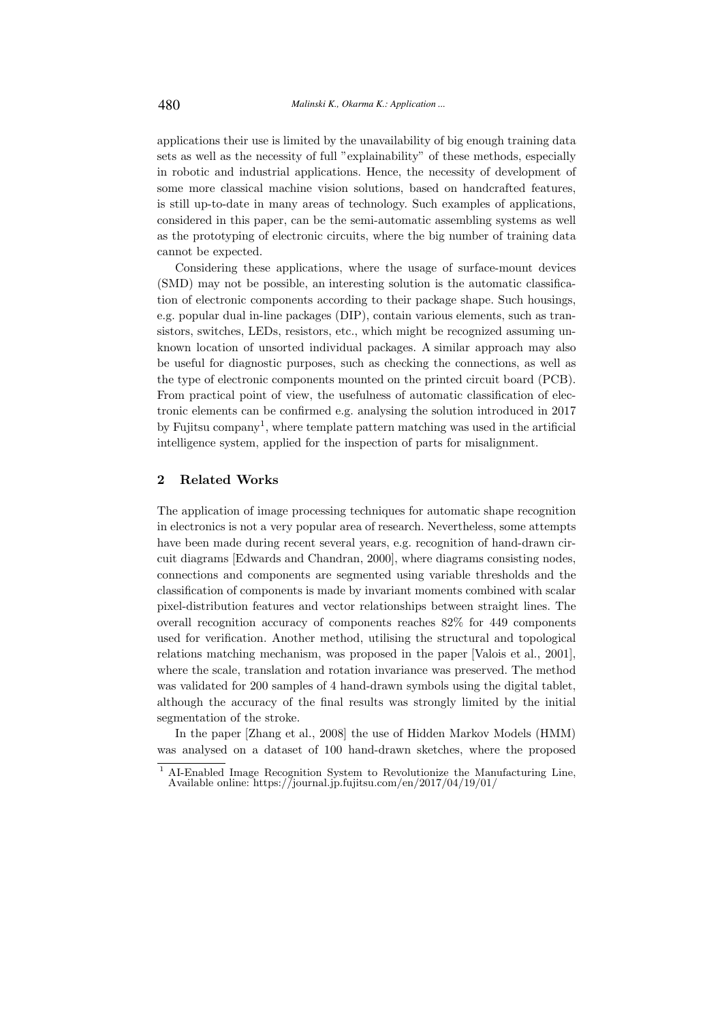applications their use is limited by the unavailability of big enough training data sets as well as the necessity of full "explainability" of these methods, especially in robotic and industrial applications. Hence, the necessity of development of some more classical machine vision solutions, based on handcrafted features, is still up-to-date in many areas of technology. Such examples of applications, considered in this paper, can be the semi-automatic assembling systems as well as the prototyping of electronic circuits, where the big number of training data cannot be expected.

Considering these applications, where the usage of surface-mount devices (SMD) may not be possible, an interesting solution is the automatic classification of electronic components according to their package shape. Such housings, e.g. popular dual in-line packages (DIP), contain various elements, such as transistors, switches, LEDs, resistors, etc., which might be recognized assuming unknown location of unsorted individual packages. A similar approach may also be useful for diagnostic purposes, such as checking the connections, as well as the type of electronic components mounted on the printed circuit board (PCB). From practical point of view, the usefulness of automatic classification of electronic elements can be confirmed e.g. analysing the solution introduced in 2017 by Fujitsu company<sup>1</sup>, where template pattern matching was used in the artificial intelligence system, applied for the inspection of parts for misalignment.

## 2 Related Works

The application of image processing techniques for automatic shape recognition in electronics is not a very popular area of research. Nevertheless, some attempts have been made during recent several years, e.g. recognition of hand-drawn circuit diagrams [Edwards and Chandran, 2000], where diagrams consisting nodes, connections and components are segmented using variable thresholds and the classification of components is made by invariant moments combined with scalar pixel-distribution features and vector relationships between straight lines. The overall recognition accuracy of components reaches 82% for 449 components used for verification. Another method, utilising the structural and topological relations matching mechanism, was proposed in the paper [Valois et al., 2001], where the scale, translation and rotation invariance was preserved. The method was validated for 200 samples of 4 hand-drawn symbols using the digital tablet, although the accuracy of the final results was strongly limited by the initial segmentation of the stroke.

In the paper [Zhang et al., 2008] the use of Hidden Markov Models (HMM) was analysed on a dataset of 100 hand-drawn sketches, where the proposed

<sup>1</sup> AI-Enabled Image Recognition System to Revolutionize the Manufacturing Line, Available online: https://journal.jp.fujitsu.com/en/2017/04/19/01/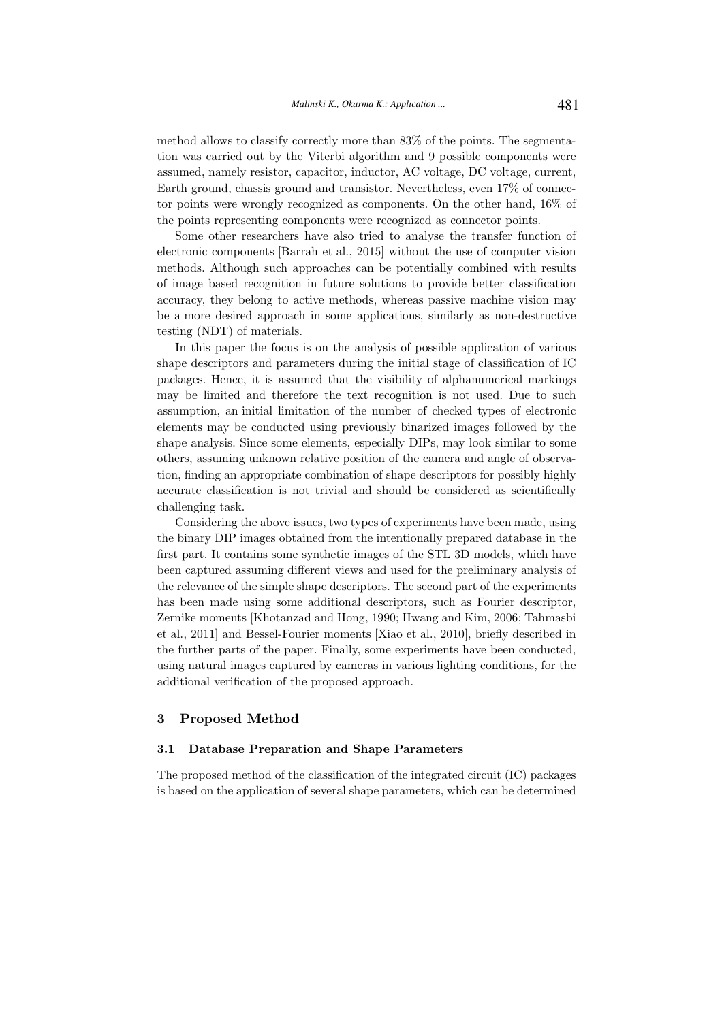method allows to classify correctly more than 83% of the points. The segmentation was carried out by the Viterbi algorithm and 9 possible components were assumed, namely resistor, capacitor, inductor, AC voltage, DC voltage, current, Earth ground, chassis ground and transistor. Nevertheless, even 17% of connector points were wrongly recognized as components. On the other hand, 16% of the points representing components were recognized as connector points.

Some other researchers have also tried to analyse the transfer function of electronic components [Barrah et al., 2015] without the use of computer vision methods. Although such approaches can be potentially combined with results of image based recognition in future solutions to provide better classification accuracy, they belong to active methods, whereas passive machine vision may be a more desired approach in some applications, similarly as non-destructive testing (NDT) of materials.

In this paper the focus is on the analysis of possible application of various shape descriptors and parameters during the initial stage of classification of IC packages. Hence, it is assumed that the visibility of alphanumerical markings may be limited and therefore the text recognition is not used. Due to such assumption, an initial limitation of the number of checked types of electronic elements may be conducted using previously binarized images followed by the shape analysis. Since some elements, especially DIPs, may look similar to some others, assuming unknown relative position of the camera and angle of observation, finding an appropriate combination of shape descriptors for possibly highly accurate classification is not trivial and should be considered as scientifically challenging task.

Considering the above issues, two types of experiments have been made, using the binary DIP images obtained from the intentionally prepared database in the first part. It contains some synthetic images of the STL 3D models, which have been captured assuming different views and used for the preliminary analysis of the relevance of the simple shape descriptors. The second part of the experiments has been made using some additional descriptors, such as Fourier descriptor, Zernike moments [Khotanzad and Hong, 1990; Hwang and Kim, 2006; Tahmasbi et al., 2011] and Bessel-Fourier moments [Xiao et al., 2010], briefly described in the further parts of the paper. Finally, some experiments have been conducted, using natural images captured by cameras in various lighting conditions, for the additional verification of the proposed approach.

#### 3 Proposed Method

#### 3.1 Database Preparation and Shape Parameters

The proposed method of the classification of the integrated circuit (IC) packages is based on the application of several shape parameters, which can be determined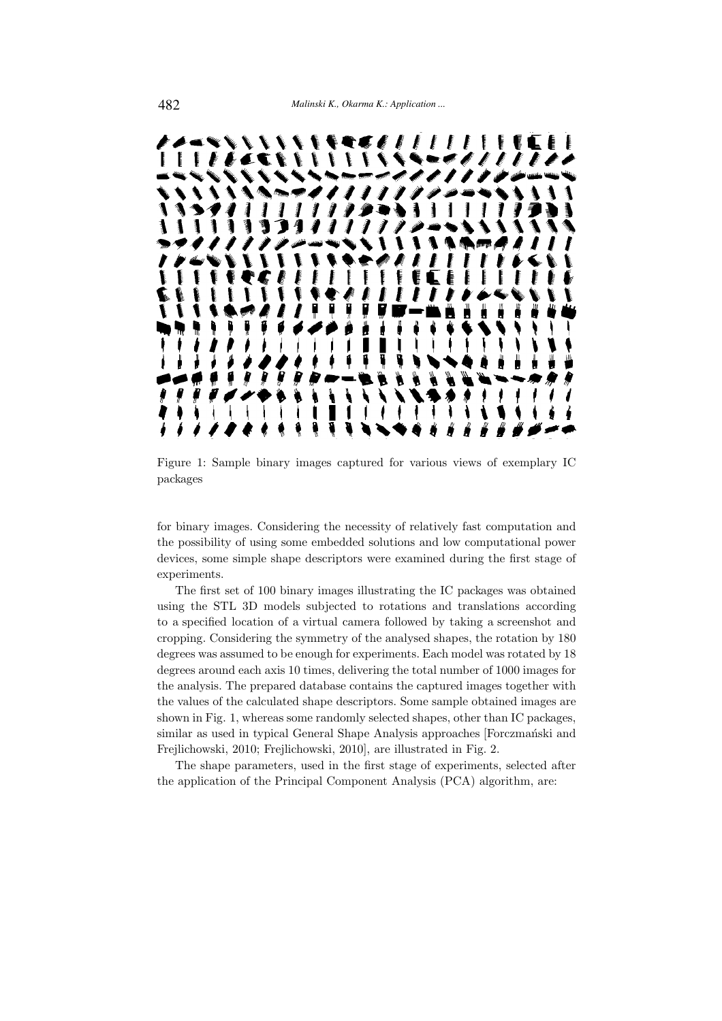

Figure 1: Sample binary images captured for various views of exemplary IC packages

for binary images. Considering the necessity of relatively fast computation and the possibility of using some embedded solutions and low computational power devices, some simple shape descriptors were examined during the first stage of experiments.

The first set of 100 binary images illustrating the IC packages was obtained using the STL 3D models subjected to rotations and translations according to a specified location of a virtual camera followed by taking a screenshot and cropping. Considering the symmetry of the analysed shapes, the rotation by 180 degrees was assumed to be enough for experiments. Each model was rotated by 18 degrees around each axis 10 times, delivering the total number of 1000 images for the analysis. The prepared database contains the captured images together with the values of the calculated shape descriptors. Some sample obtained images are shown in Fig. 1, whereas some randomly selected shapes, other than IC packages, similar as used in typical General Shape Analysis approaches [Forczmański and Frejlichowski, 2010; Frejlichowski, 2010], are illustrated in Fig. 2.

The shape parameters, used in the first stage of experiments, selected after the application of the Principal Component Analysis (PCA) algorithm, are: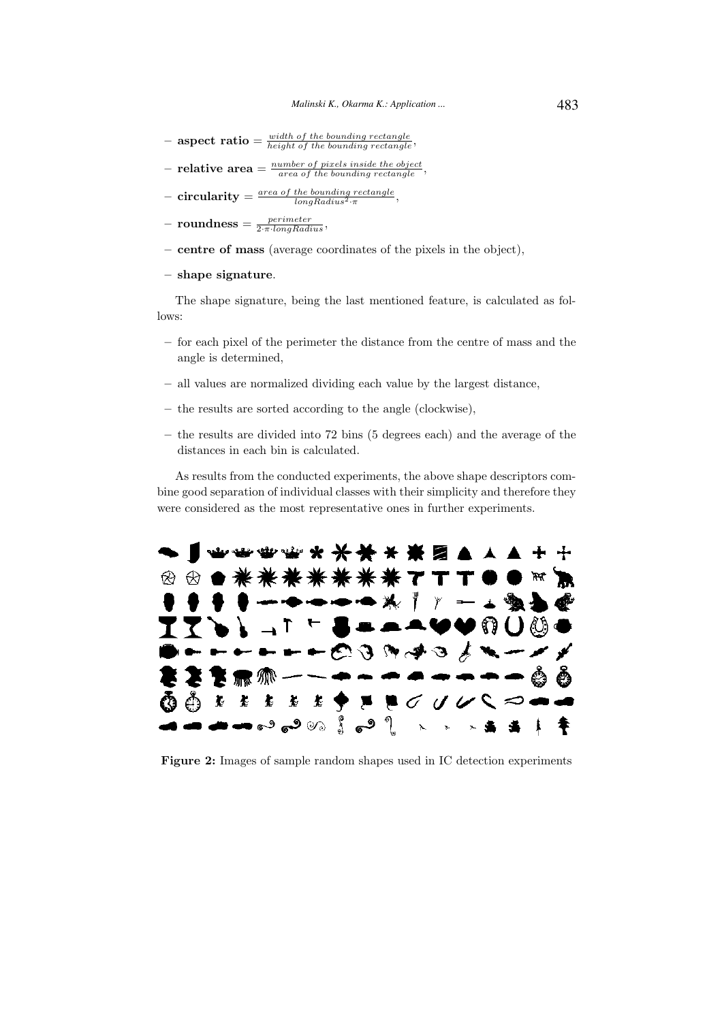- $-$  aspect ratio  $=$   $\frac{width\ of\ the\ bounding\ rectangle}{height\ of\ the\ bounding\ rectangle}$
- $-$  relative area  $=$   $\frac{number\ of\ pixels\ inside\ the\ object}{area\ of\ the\ bounding\ rectangle},$
- $\,\, \text{circularity} = \frac{\text{\emph{area of the bounding rectangle}}{\text{\emph{longRadius}}} \,,$
- $-$  roundness  $=\frac{perimeter}{2 \cdot \pi \cdot longRadius},$
- centre of mass (average coordinates of the pixels in the object),
- shape signature.

The shape signature, being the last mentioned feature, is calculated as follows:

- for each pixel of the perimeter the distance from the centre of mass and the angle is determined,
- all values are normalized dividing each value by the largest distance,
- the results are sorted according to the angle (clockwise),
- the results are divided into 72 bins (5 degrees each) and the average of the distances in each bin is calculated.

As results from the conducted experiments, the above shape descriptors combine good separation of individual classes with their simplicity and therefore they were considered as the most representative ones in further experiments.



Figure 2: Images of sample random shapes used in IC detection experiments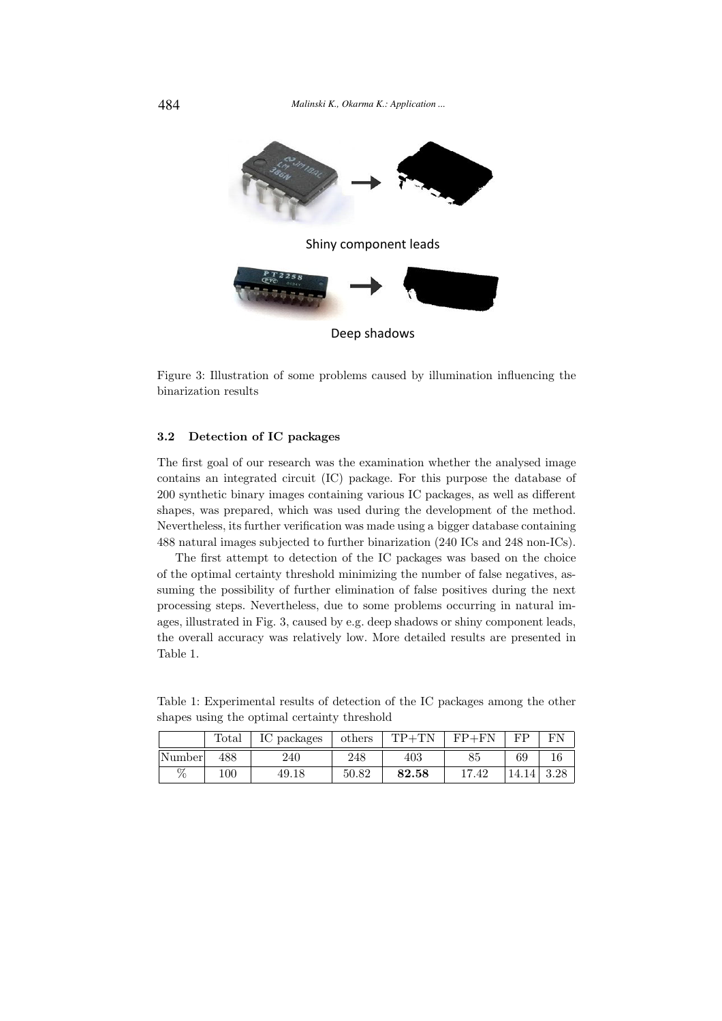

Deep shadows

Figure 3: Illustration of some problems caused by illumination influencing the binarization results

### 3.2 Detection of IC packages

The first goal of our research was the examination whether the analysed image contains an integrated circuit (IC) package. For this purpose the database of 200 synthetic binary images containing various IC packages, as well as different shapes, was prepared, which was used during the development of the method. Nevertheless, its further verification was made using a bigger database containing 488 natural images subjected to further binarization (240 ICs and 248 non-ICs).

The first attempt to detection of the IC packages was based on the choice of the optimal certainty threshold minimizing the number of false negatives, assuming the possibility of further elimination of false positives during the next processing steps. Nevertheless, due to some problems occurring in natural images, illustrated in Fig. 3, caused by e.g. deep shadows or shiny component leads, the overall accuracy was relatively low. More detailed results are presented in Table 1.

Table 1: Experimental results of detection of the IC packages among the other shapes using the optimal certainty threshold

|        | Total   | IC packages | others | $TP + TN$ | $FP+FN$   | FР   |    |
|--------|---------|-------------|--------|-----------|-----------|------|----|
| Number | 488     | 240         | 248    | 403       | Οŧ.       | 69   | 10 |
| %      | $100\,$ | 49.18       | 50.82  | 82.58     | .42<br>17 | 14.1 |    |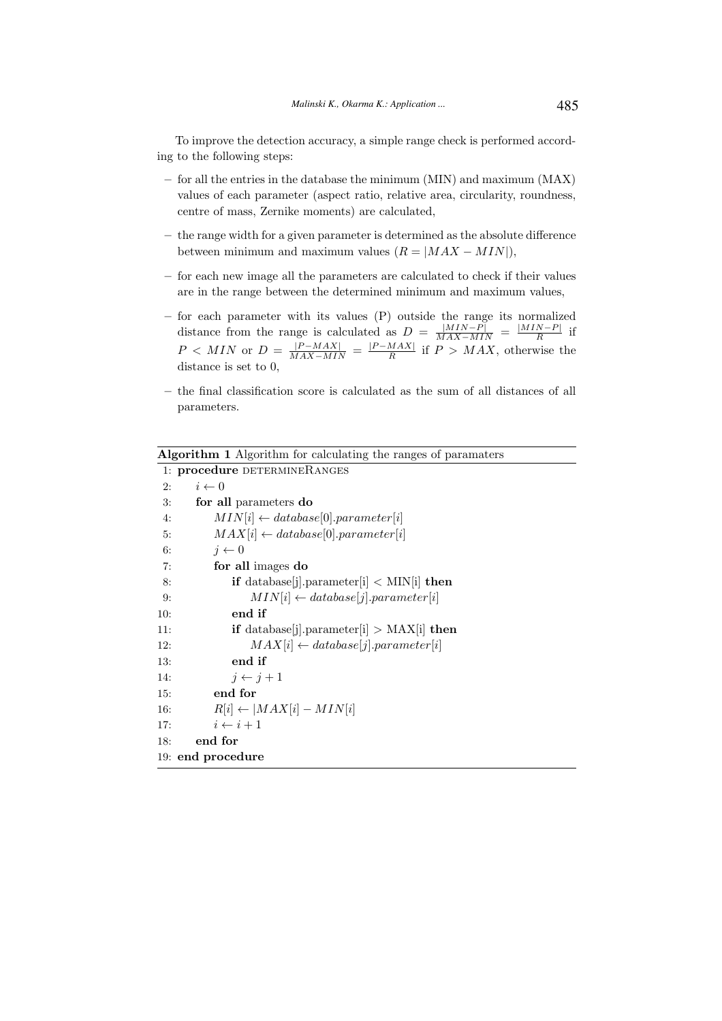To improve the detection accuracy, a simple range check is performed according to the following steps:

- for all the entries in the database the minimum (MIN) and maximum (MAX) values of each parameter (aspect ratio, relative area, circularity, roundness, centre of mass, Zernike moments) are calculated,
- the range width for a given parameter is determined as the absolute difference between minimum and maximum values  $(R = |MAX - MIN|)$ ,
- for each new image all the parameters are calculated to check if their values are in the range between the determined minimum and maximum values,
- for each parameter with its values (P) outside the range its normalized distance from the range is calculated as  $D = \frac{|MIN - P|}{MAX - MIN} = \frac{|MIN - P|}{R}$  $\frac{N-F|}{R}$  if  $P \lt MIN$  or  $D = \frac{|P - MAX|}{MAX - MIN} = \frac{|P - MAX|}{R}$  $\frac{MAX}{R}$  if  $P > MAX$ , otherwise the distance is set to 0,
- the final classification score is calculated as the sum of all distances of all parameters.

Algorithm 1 Algorithm for calculating the ranges of paramaters

|     | 1: procedure DETERMINERANGES                              |  |  |
|-----|-----------------------------------------------------------|--|--|
| 2:  | $i \leftarrow 0$                                          |  |  |
| 3:  | for all parameters do                                     |  |  |
| 4:  | $MIN[i] \leftarrow database[0].parameter[i]$              |  |  |
| 5:  | $MAX[i] \leftarrow database[0].parameter[i]$              |  |  |
| 6:  | $i \leftarrow 0$                                          |  |  |
| 7:  | for all images do                                         |  |  |
| 8:  | if database[j].parameter[i] $\langle$ MIN[i] then         |  |  |
| 9:  | $MIN[i] \leftarrow database[j].parameter[i]$              |  |  |
| 10: | end if                                                    |  |  |
| 11: | <b>if</b> database[j].parameter[i] > $MAX[i]$ <b>then</b> |  |  |
| 12: | $MAX[i] \leftarrow database[j].parameter[i]$              |  |  |
| 13: | end if                                                    |  |  |
| 14: | $j \leftarrow j+1$                                        |  |  |
| 15: | end for                                                   |  |  |
| 16: | $R[i] \leftarrow  MAX[i] - MIN[i]$                        |  |  |
| 17: | $i \leftarrow i + 1$                                      |  |  |
| 18: | end for                                                   |  |  |
|     | 19: end procedure                                         |  |  |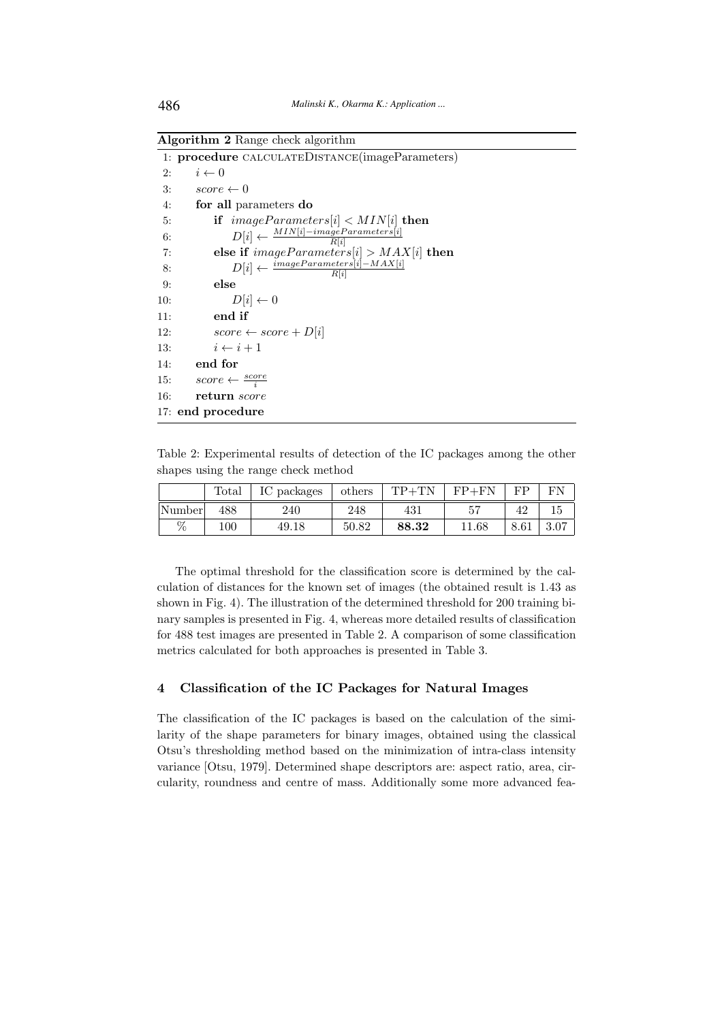Algorithm 2 Range check algorithm

|     | 1: procedure CALCULATEDISTANCE(imageParameters)                    |
|-----|--------------------------------------------------------------------|
| 2:  | $i \leftarrow 0$                                                   |
| 3:  | $score \leftarrow 0$                                               |
| 4:  | for all parameters do                                              |
| 5:  | if $imageParameters[i] < MIN[i]$ then                              |
| 6:  | $D[i] \leftarrow \frac{MIN[i] - \textit{imageParameter}[i]}{R[i]}$ |
| 7:  | else if $imageParameters[i] > MAX[i]$ then                         |
| 8:  | $D[i] \leftarrow \frac{imageParameters[i] - MAX[i]}{R[i]}$         |
| 9:  | else                                                               |
| 10: | $D[i] \leftarrow 0$                                                |
| 11: | end if                                                             |
| 12: | $score \leftarrow score + D[i]$                                    |
| 13: | $i \leftarrow i+1$                                                 |
| 14: | end for                                                            |
| 15: | $score \leftarrow \frac{score}{i}$                                 |
| 16: | return score                                                       |
|     | 17: end procedure                                                  |

Table 2: Experimental results of detection of the IC packages among the other shapes using the range check method

|        | Total   | packages<br>1V | others | $\text{TD} \bot \text{TN}$ | $FP+FN$   | FР       |     |
|--------|---------|----------------|--------|----------------------------|-----------|----------|-----|
| Number | 488     | 240            | 248    | 431                        | ۳ ی       | 42       | ΤĤ  |
| %      | $100\,$ | 49.18          | 50.82  | 88.32                      | $11.68\,$ | $8.61\,$ | O.U |

The optimal threshold for the classification score is determined by the calculation of distances for the known set of images (the obtained result is 1.43 as shown in Fig. 4). The illustration of the determined threshold for 200 training binary samples is presented in Fig. 4, whereas more detailed results of classification for 488 test images are presented in Table 2. A comparison of some classification metrics calculated for both approaches is presented in Table 3.

# 4 Classification of the IC Packages for Natural Images

The classification of the IC packages is based on the calculation of the similarity of the shape parameters for binary images, obtained using the classical Otsu's thresholding method based on the minimization of intra-class intensity variance [Otsu, 1979]. Determined shape descriptors are: aspect ratio, area, circularity, roundness and centre of mass. Additionally some more advanced fea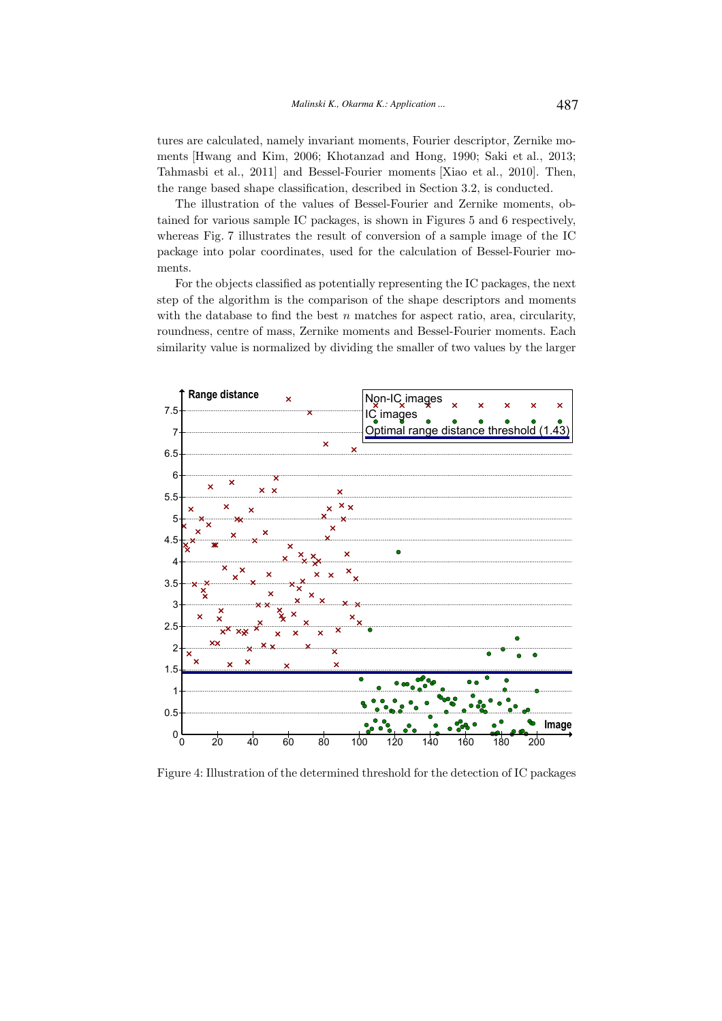tures are calculated, namely invariant moments, Fourier descriptor, Zernike moments [Hwang and Kim, 2006; Khotanzad and Hong, 1990; Saki et al., 2013; Tahmasbi et al., 2011] and Bessel-Fourier moments [Xiao et al., 2010]. Then, the range based shape classification, described in Section 3.2, is conducted.

The illustration of the values of Bessel-Fourier and Zernike moments, obtained for various sample IC packages, is shown in Figures 5 and 6 respectively, whereas Fig. 7 illustrates the result of conversion of a sample image of the IC package into polar coordinates, used for the calculation of Bessel-Fourier moments.

For the objects classified as potentially representing the IC packages, the next step of the algorithm is the comparison of the shape descriptors and moments with the database to find the best  $n$  matches for aspect ratio, area, circularity, roundness, centre of mass, Zernike moments and Bessel-Fourier moments. Each similarity value is normalized by dividing the smaller of two values by the larger



Figure 4: Illustration of the determined threshold for the detection of IC packages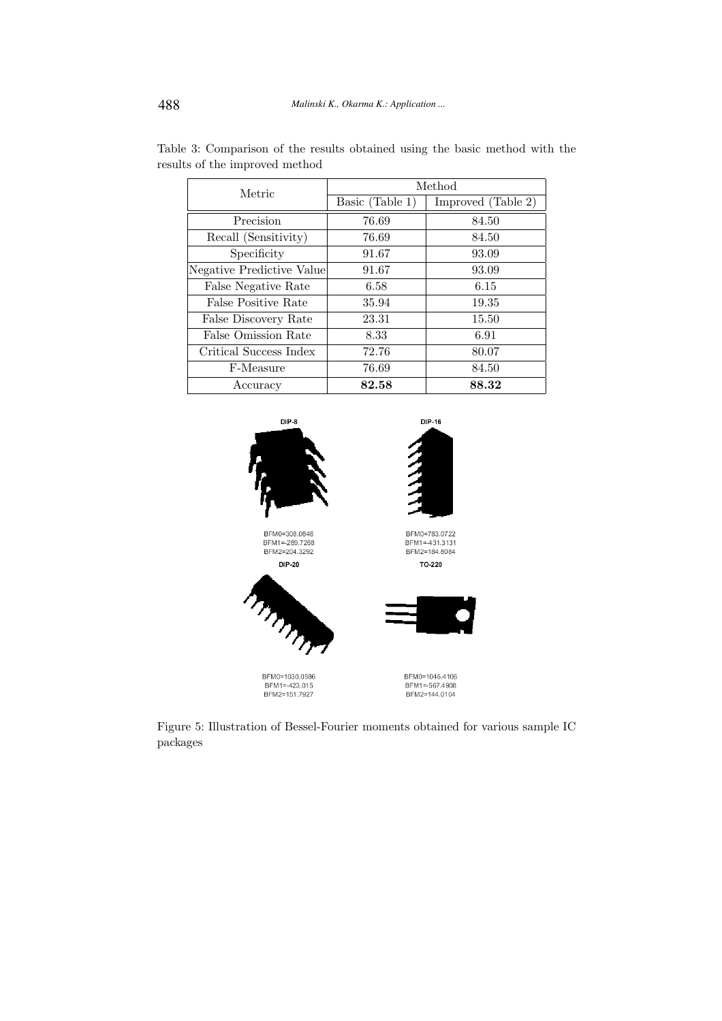| Metric                    | Method          |                    |  |  |
|---------------------------|-----------------|--------------------|--|--|
|                           | Basic (Table 1) | Improved (Table 2) |  |  |
| Precision                 | 76.69           | 84.50              |  |  |
| Recall (Sensitivity)      | 76.69           | 84.50              |  |  |
| Specificity               | 91.67           | 93.09              |  |  |
| Negative Predictive Value | 91.67           | 93.09              |  |  |
| False Negative Rate       | 6.58            | 6.15               |  |  |
| False Positive Rate       | 35.94           | 19.35              |  |  |
| False Discovery Rate      | 23.31           | 15.50              |  |  |
| False Omission Rate       | 8.33            | 6.91               |  |  |
| Critical Success Index    | 72.76           | 80.07              |  |  |
| F-Measure                 | 76.69           | 84.50              |  |  |
| Accuracy                  | 82.58           | 88.32              |  |  |

Table 3: Comparison of the results obtained using the basic method with the results of the improved method



Figure 5: Illustration of Bessel-Fourier moments obtained for various sample IC packages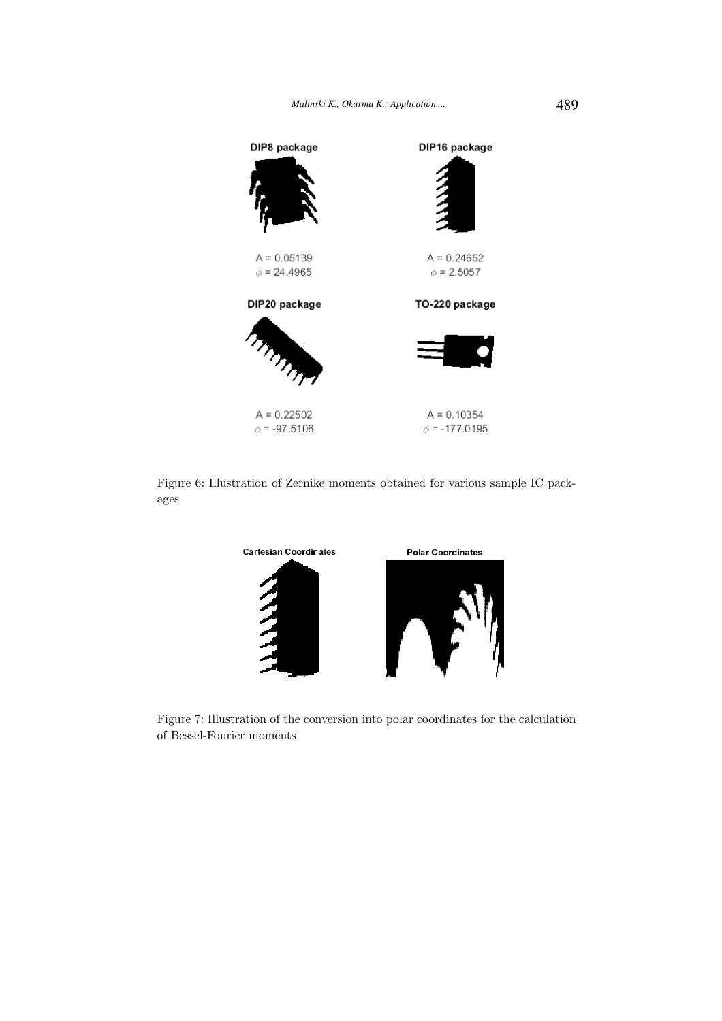

Figure 6: Illustration of Zernike moments obtained for various sample IC packages



Figure 7: Illustration of the conversion into polar coordinates for the calculation of Bessel-Fourier moments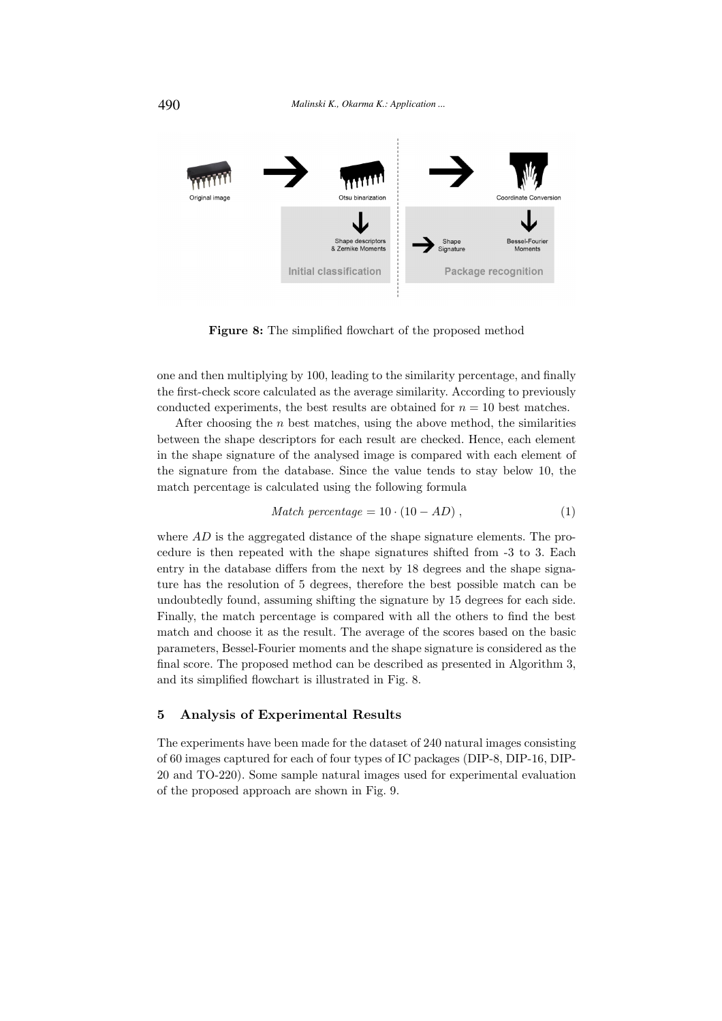

Figure 8: The simplified flowchart of the proposed method

one and then multiplying by 100, leading to the similarity percentage, and finally the first-check score calculated as the average similarity. According to previously conducted experiments, the best results are obtained for  $n = 10$  best matches.

After choosing the  $n$  best matches, using the above method, the similarities between the shape descriptors for each result are checked. Hence, each element in the shape signature of the analysed image is compared with each element of the signature from the database. Since the value tends to stay below 10, the match percentage is calculated using the following formula

$$
Match\ percentage = 10 \cdot (10 - AD) , \qquad (1)
$$

where  $AD$  is the aggregated distance of the shape signature elements. The procedure is then repeated with the shape signatures shifted from -3 to 3. Each entry in the database differs from the next by 18 degrees and the shape signature has the resolution of 5 degrees, therefore the best possible match can be undoubtedly found, assuming shifting the signature by 15 degrees for each side. Finally, the match percentage is compared with all the others to find the best match and choose it as the result. The average of the scores based on the basic parameters, Bessel-Fourier moments and the shape signature is considered as the final score. The proposed method can be described as presented in Algorithm 3, and its simplified flowchart is illustrated in Fig. 8.

## 5 Analysis of Experimental Results

The experiments have been made for the dataset of 240 natural images consisting of 60 images captured for each of four types of IC packages (DIP-8, DIP-16, DIP-20 and TO-220). Some sample natural images used for experimental evaluation of the proposed approach are shown in Fig. 9.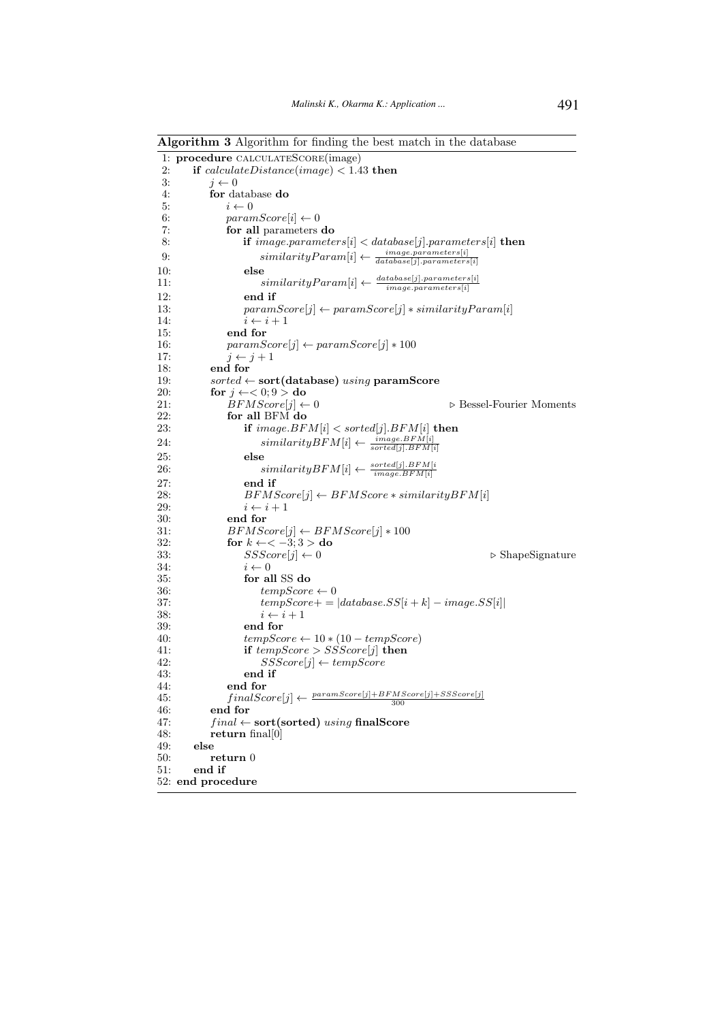Algorithm 3 Algorithm for finding the best match in the database

|                 | 1: procedure CALCULATESCORE(image)                                                                                               |  |  |
|-----------------|----------------------------------------------------------------------------------------------------------------------------------|--|--|
| 2:              | if $calculateDistance (image) < 1.43$ then                                                                                       |  |  |
| 3:              | $i \leftarrow 0$                                                                                                                 |  |  |
| 4:              | for database do                                                                                                                  |  |  |
| 5:              | $i \leftarrow 0$                                                                                                                 |  |  |
| 6:              | $paramScore[i] \leftarrow 0$                                                                                                     |  |  |
| 7:              | for all parameters do                                                                                                            |  |  |
| 8:              | if image.parameters[i] $\langle$ database[j].parameters[i] then                                                                  |  |  |
|                 |                                                                                                                                  |  |  |
| 9:              | $similarityParam[i] \leftarrow \frac{image.parenters[i]}{database[j].parameters[i]}$                                             |  |  |
| 10:             | else                                                                                                                             |  |  |
| 11:             | $\sum_{\text{similarityParam}[i]} \leftarrow \frac{\text{database}[j].\text{parameters}[i]}{\text{image.}\text{parameters}[i]}.$ |  |  |
| 12:             | end if                                                                                                                           |  |  |
| 13:             | $paramScore[j] \leftarrow paramScore[j] * similarityParam[i]$                                                                    |  |  |
| 14:             | $i \leftarrow i+1$                                                                                                               |  |  |
| 15:             | end for                                                                                                                          |  |  |
| 16:             | $paramScore[j] \leftarrow paramScore[j] * 100$                                                                                   |  |  |
| 17:             | $j \leftarrow j+1$                                                                                                               |  |  |
| 18:             | end for                                                                                                                          |  |  |
| 19:             | $sorted \leftarrow sort(database)$ using paramScore                                                                              |  |  |
| 20:             | for $j \leftarrow < 0; 9 >$ do                                                                                                   |  |  |
| 21:             | $BFMScore[j] \leftarrow 0$<br>$\triangleright$ Bessel-Fourier Moments                                                            |  |  |
| 22:             | for all BFM do                                                                                                                   |  |  |
| 23:             | if $image.BFM[i] < sorted[j].BFM[i]$ then                                                                                        |  |  |
|                 |                                                                                                                                  |  |  |
| 24:             | $similarityBFM[i] \leftarrow \frac{image.BFM[i]}{sorted[j].BFM[i]}$                                                              |  |  |
| 25:             | else                                                                                                                             |  |  |
| 26:             | $similarityBFM[i] \leftarrow \frac{sorted[j].BFM[i]}{image.BFM[i]}$                                                              |  |  |
| 27:             | end if                                                                                                                           |  |  |
| 28:             | $BFMScore[j] \leftarrow BFMScore * similarityBFM[i]$                                                                             |  |  |
| 29:             | $i \leftarrow i+1$                                                                                                               |  |  |
| 30:             | end for                                                                                                                          |  |  |
| 31:             | $BFMScore[j] \leftarrow BFMScore[j] * 100$                                                                                       |  |  |
| 32:             | for $k \leftarrow < -3; 3 >$ do                                                                                                  |  |  |
| 33:             | $SSScore[j] \leftarrow 0$<br>$\triangleright$ ShapeSignature                                                                     |  |  |
| 34:             | $i \leftarrow 0$                                                                                                                 |  |  |
| 35:             | for all SS do                                                                                                                    |  |  |
| 36:             | $tempScore \leftarrow 0$                                                                                                         |  |  |
| 37:             | $tempScore +=   database.SS[i + k] - image.SS[i] $                                                                               |  |  |
| 38 <sub>1</sub> | $i \leftarrow i+1$                                                                                                               |  |  |
| 39:             | end for                                                                                                                          |  |  |
| 40:             | $tempScore \leftarrow 10 * (10 - tempScore)$                                                                                     |  |  |
| 41:             | if $tempScore > SSScore[j]$ then                                                                                                 |  |  |
| 42:             | $SSScore[j] \leftarrow tempScore$                                                                                                |  |  |
| 43:             | end if                                                                                                                           |  |  |
| 44:             | end for                                                                                                                          |  |  |
|                 | $finalScore[j] \leftarrow \frac{paramScore[j] + BFMScore[j] + SSScore[j]}{300}$                                                  |  |  |
| 45:<br>46:      | end for                                                                                                                          |  |  |
| 47:             | $final \leftarrow sort(sorted)$ using final Score                                                                                |  |  |
|                 |                                                                                                                                  |  |  |
| 48:             | return final $[0]$                                                                                                               |  |  |
| 49:             | else                                                                                                                             |  |  |
| 50:             | return 0                                                                                                                         |  |  |
| 51:             | end if                                                                                                                           |  |  |
|                 | 52: end procedure                                                                                                                |  |  |
|                 |                                                                                                                                  |  |  |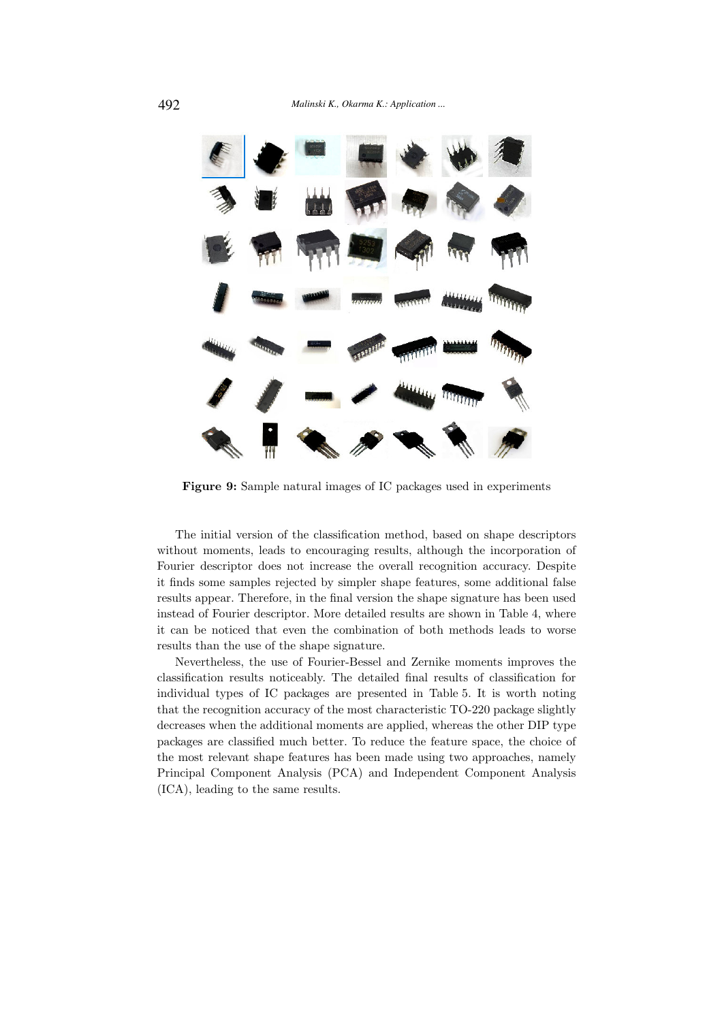

Figure 9: Sample natural images of IC packages used in experiments

The initial version of the classification method, based on shape descriptors without moments, leads to encouraging results, although the incorporation of Fourier descriptor does not increase the overall recognition accuracy. Despite it finds some samples rejected by simpler shape features, some additional false results appear. Therefore, in the final version the shape signature has been used instead of Fourier descriptor. More detailed results are shown in Table 4, where it can be noticed that even the combination of both methods leads to worse results than the use of the shape signature.

Nevertheless, the use of Fourier-Bessel and Zernike moments improves the classification results noticeably. The detailed final results of classification for individual types of IC packages are presented in Table 5. It is worth noting that the recognition accuracy of the most characteristic TO-220 package slightly decreases when the additional moments are applied, whereas the other DIP type packages are classified much better. To reduce the feature space, the choice of the most relevant shape features has been made using two approaches, namely Principal Component Analysis (PCA) and Independent Component Analysis (ICA), leading to the same results.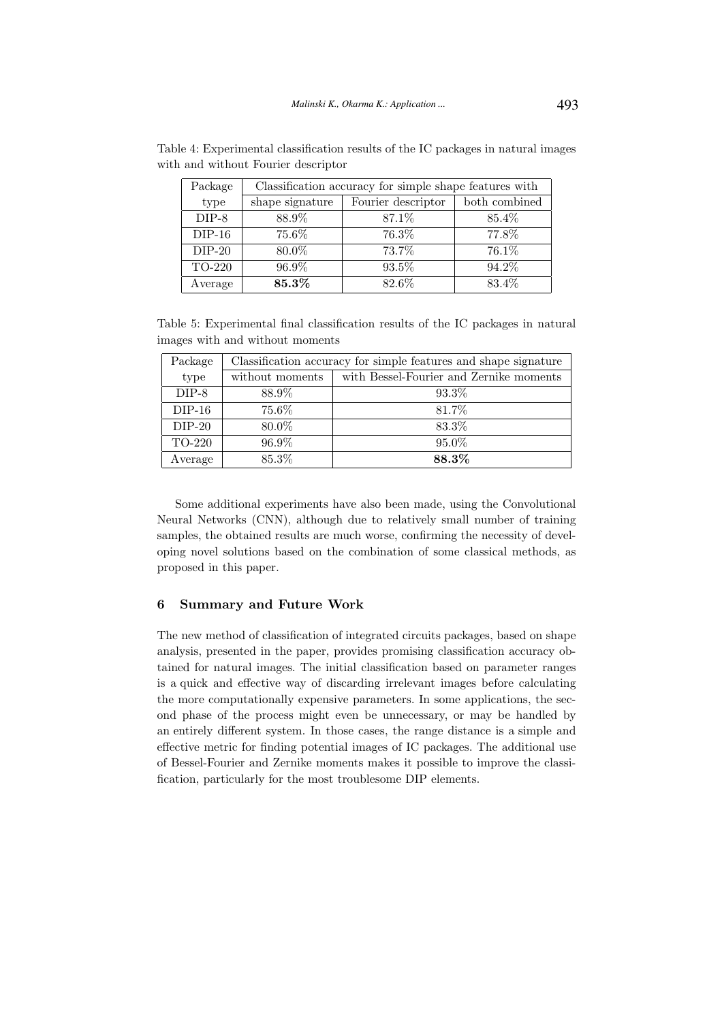| Package                 | Classification accuracy for simple shape features with |                    |               |  |
|-------------------------|--------------------------------------------------------|--------------------|---------------|--|
| type<br>shape signature |                                                        | Fourier descriptor | both combined |  |
| $DIP-8$                 | 88.9%                                                  | 87.1\%             | 85.4%         |  |
| $DIP-16$                | 75.6%                                                  | 76.3%              | 77.8%         |  |
| $DIP-20$                | 80.0%                                                  | 73.7%              | 76.1%         |  |
| TO-220                  | 96.9%                                                  | 93.5%              | 94.2%         |  |
| Average                 | 85.3%                                                  | 82.6%              | 83.4%         |  |

Table 4: Experimental classification results of the IC packages in natural images with and without Fourier descriptor

Table 5: Experimental final classification results of the IC packages in natural images with and without moments

| Package  | Classification accuracy for simple features and shape signature |                                         |  |  |
|----------|-----------------------------------------------------------------|-----------------------------------------|--|--|
| type     | without moments                                                 | with Bessel-Fourier and Zernike moments |  |  |
| $DIP-8$  | 88.9%                                                           | 93.3\%                                  |  |  |
| $DIP-16$ | 75.6%                                                           | 81.7%                                   |  |  |
| $DIP-20$ | 80.0%                                                           | 83.3%                                   |  |  |
| TO-220   | 96.9%                                                           | 95.0%                                   |  |  |
| Average  | 85.3%                                                           | 88.3%                                   |  |  |

Some additional experiments have also been made, using the Convolutional Neural Networks (CNN), although due to relatively small number of training samples, the obtained results are much worse, confirming the necessity of developing novel solutions based on the combination of some classical methods, as proposed in this paper.

### 6 Summary and Future Work

The new method of classification of integrated circuits packages, based on shape analysis, presented in the paper, provides promising classification accuracy obtained for natural images. The initial classification based on parameter ranges is a quick and effective way of discarding irrelevant images before calculating the more computationally expensive parameters. In some applications, the second phase of the process might even be unnecessary, or may be handled by an entirely different system. In those cases, the range distance is a simple and effective metric for finding potential images of IC packages. The additional use of Bessel-Fourier and Zernike moments makes it possible to improve the classification, particularly for the most troublesome DIP elements.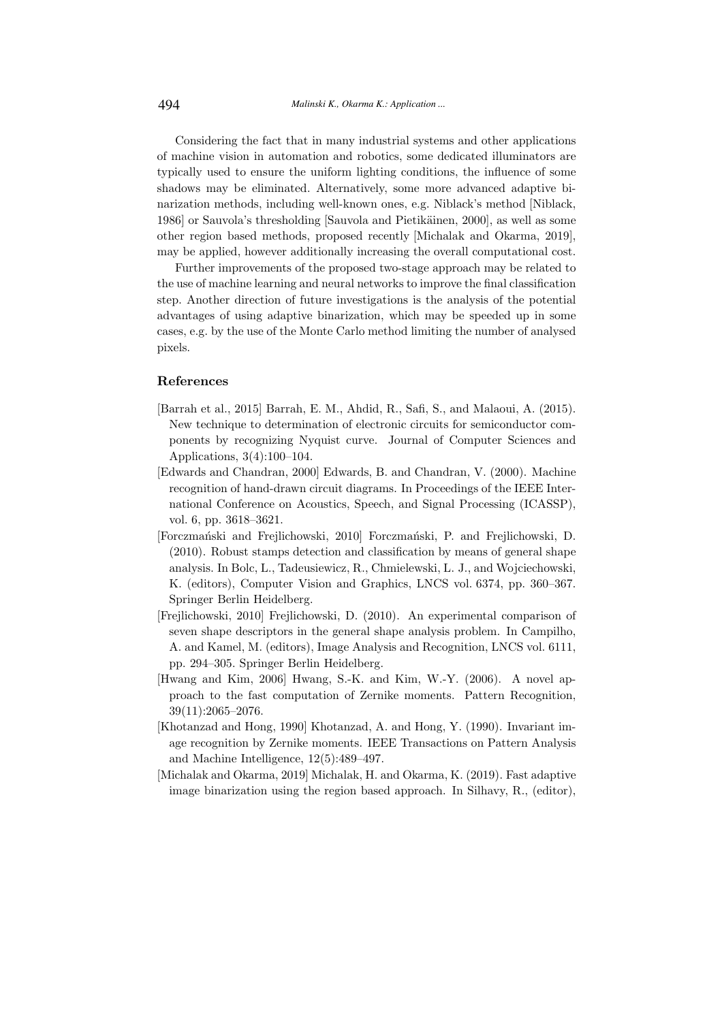Considering the fact that in many industrial systems and other applications of machine vision in automation and robotics, some dedicated illuminators are typically used to ensure the uniform lighting conditions, the influence of some shadows may be eliminated. Alternatively, some more advanced adaptive binarization methods, including well-known ones, e.g. Niblack's method [Niblack, 1986] or Sauvola's thresholding [Sauvola and Pietikäinen, 2000], as well as some other region based methods, proposed recently [Michalak and Okarma, 2019], may be applied, however additionally increasing the overall computational cost.

Further improvements of the proposed two-stage approach may be related to the use of machine learning and neural networks to improve the final classification step. Another direction of future investigations is the analysis of the potential advantages of using adaptive binarization, which may be speeded up in some cases, e.g. by the use of the Monte Carlo method limiting the number of analysed pixels.

## References

- [Barrah et al., 2015] Barrah, E. M., Ahdid, R., Safi, S., and Malaoui, A. (2015). New technique to determination of electronic circuits for semiconductor components by recognizing Nyquist curve. Journal of Computer Sciences and Applications, 3(4):100–104.
- [Edwards and Chandran, 2000] Edwards, B. and Chandran, V. (2000). Machine recognition of hand-drawn circuit diagrams. In Proceedings of the IEEE International Conference on Acoustics, Speech, and Signal Processing (ICASSP), vol. 6, pp. 3618–3621.
- [Forczmański and Frejlichowski, 2010] Forczmański, P. and Frejlichowski, D. (2010). Robust stamps detection and classification by means of general shape analysis. In Bolc, L., Tadeusiewicz, R., Chmielewski, L. J., and Wojciechowski, K. (editors), Computer Vision and Graphics, LNCS vol. 6374, pp. 360–367. Springer Berlin Heidelberg.
- [Frejlichowski, 2010] Frejlichowski, D. (2010). An experimental comparison of seven shape descriptors in the general shape analysis problem. In Campilho, A. and Kamel, M. (editors), Image Analysis and Recognition, LNCS vol. 6111, pp. 294–305. Springer Berlin Heidelberg.
- [Hwang and Kim, 2006] Hwang, S.-K. and Kim, W.-Y. (2006). A novel approach to the fast computation of Zernike moments. Pattern Recognition, 39(11):2065–2076.
- [Khotanzad and Hong, 1990] Khotanzad, A. and Hong, Y. (1990). Invariant image recognition by Zernike moments. IEEE Transactions on Pattern Analysis and Machine Intelligence, 12(5):489–497.
- [Michalak and Okarma, 2019] Michalak, H. and Okarma, K. (2019). Fast adaptive image binarization using the region based approach. In Silhavy, R., (editor),